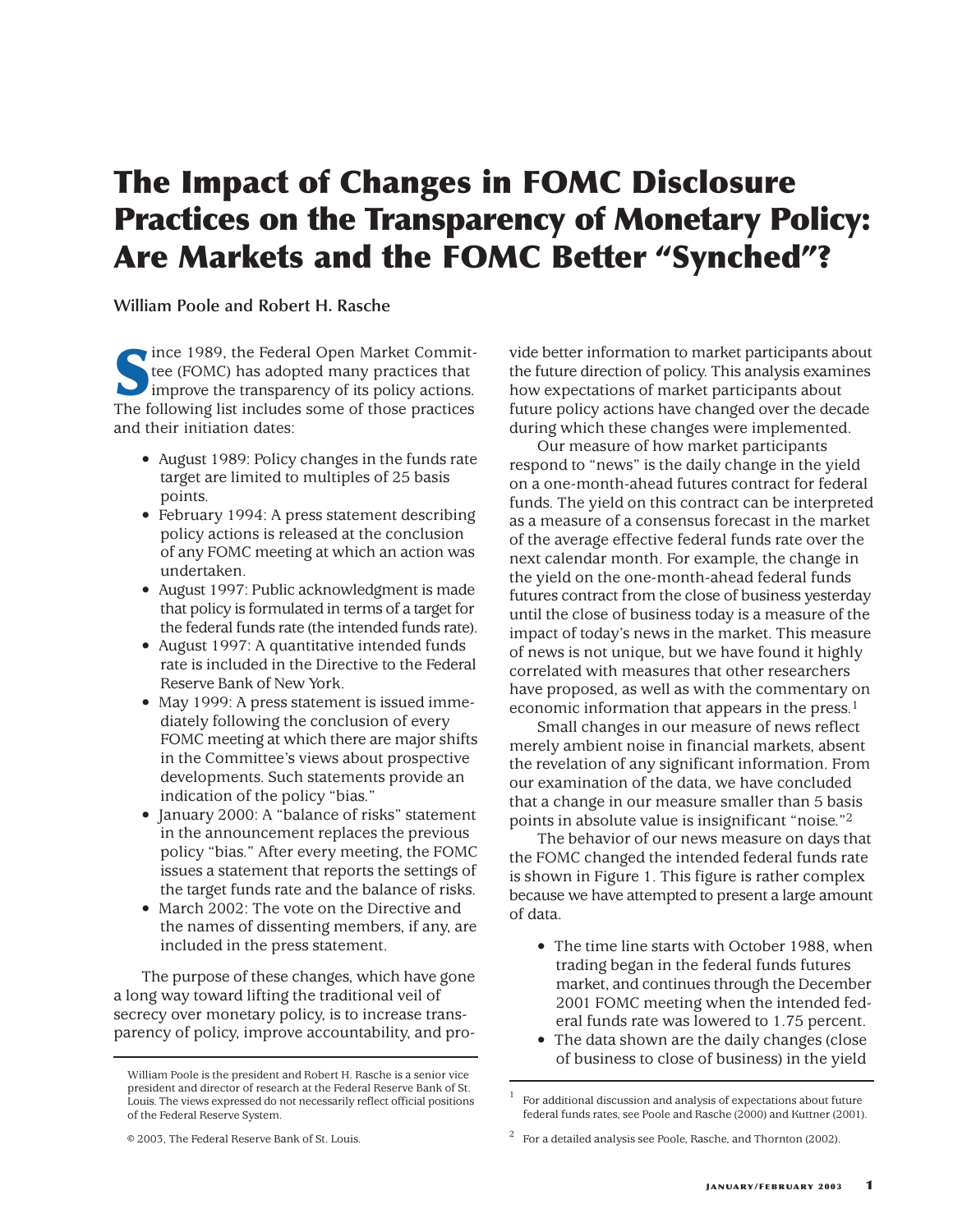# **The Impact of Changes in FOMC Disclosure Practices on the Transparency of Monetary Policy: Are Markets and the FOMC Better "Synched"?**

**William Poole and Robert H. Rasche**

**S**ince 1989, the Federal Open Market Committee (FOMC) has adopted many practices that **improve the transparency of its policy actions.** The following list includes some of those practices and their initiation dates:

- August 1989: Policy changes in the funds rate target are limited to multiples of 25 basis points.
- February 1994: A press statement describing policy actions is released at the conclusion of any FOMC meeting at which an action was undertaken.
- August 1997: Public acknowledgment is made that policy is formulated in terms of a target for the federal funds rate (the intended funds rate).
- August 1997: A quantitative intended funds rate is included in the Directive to the Federal Reserve Bank of New York.
- May 1999: A press statement is issued immediately following the conclusion of every FOMC meeting at which there are major shifts in the Committee's views about prospective developments. Such statements provide an indication of the policy "bias."
- January 2000: A "balance of risks" statement in the announcement replaces the previous policy "bias." After every meeting, the FOMC issues a statement that reports the settings of the target funds rate and the balance of risks.
- March 2002: The vote on the Directive and the names of dissenting members, if any, are included in the press statement.

The purpose of these changes, which have gone a long way toward lifting the traditional veil of secrecy over monetary policy, is to increase transparency of policy, improve accountability, and pro-

vide better information to market participants about the future direction of policy. This analysis examines how expectations of market participants about future policy actions have changed over the decade during which these changes were implemented.

Our measure of how market participants respond to "news" is the daily change in the yield on a one-month-ahead futures contract for federal funds. The yield on this contract can be interpreted as a measure of a consensus forecast in the market of the average effective federal funds rate over the next calendar month. For example, the change in the yield on the one-month-ahead federal funds futures contract from the close of business yesterday until the close of business today is a measure of the impact of today's news in the market. This measure of news is not unique, but we have found it highly correlated with measures that other researchers have proposed, as well as with the commentary on economic information that appears in the press.1

Small changes in our measure of news reflect merely ambient noise in financial markets, absent the revelation of any significant information. From our examination of the data, we have concluded that a change in our measure smaller than 5 basis points in absolute value is insignificant "noise."2

The behavior of our news measure on days that the FOMC changed the intended federal funds rate is shown in Figure 1. This figure is rather complex because we have attempted to present a large amount of data.

- The time line starts with October 1988, when trading began in the federal funds futures market, and continues through the December 2001 FOMC meeting when the intended federal funds rate was lowered to 1.75 percent.
- The data shown are the daily changes (close of business to close of business) in the yield

William Poole is the president and Robert H. Rasche is a senior vice president and director of research at the Federal Reserve Bank of St. Louis. The views expressed do not necessarily reflect official positions of the Federal Reserve System.

<sup>©</sup> 2003, The Federal Reserve Bank of St. Louis.

<sup>1</sup> For additional discussion and analysis of expectations about future federal funds rates, see Poole and Rasche (2000) and Kuttner (2001).

<sup>2</sup> For a detailed analysis see Poole, Rasche, and Thornton (2002).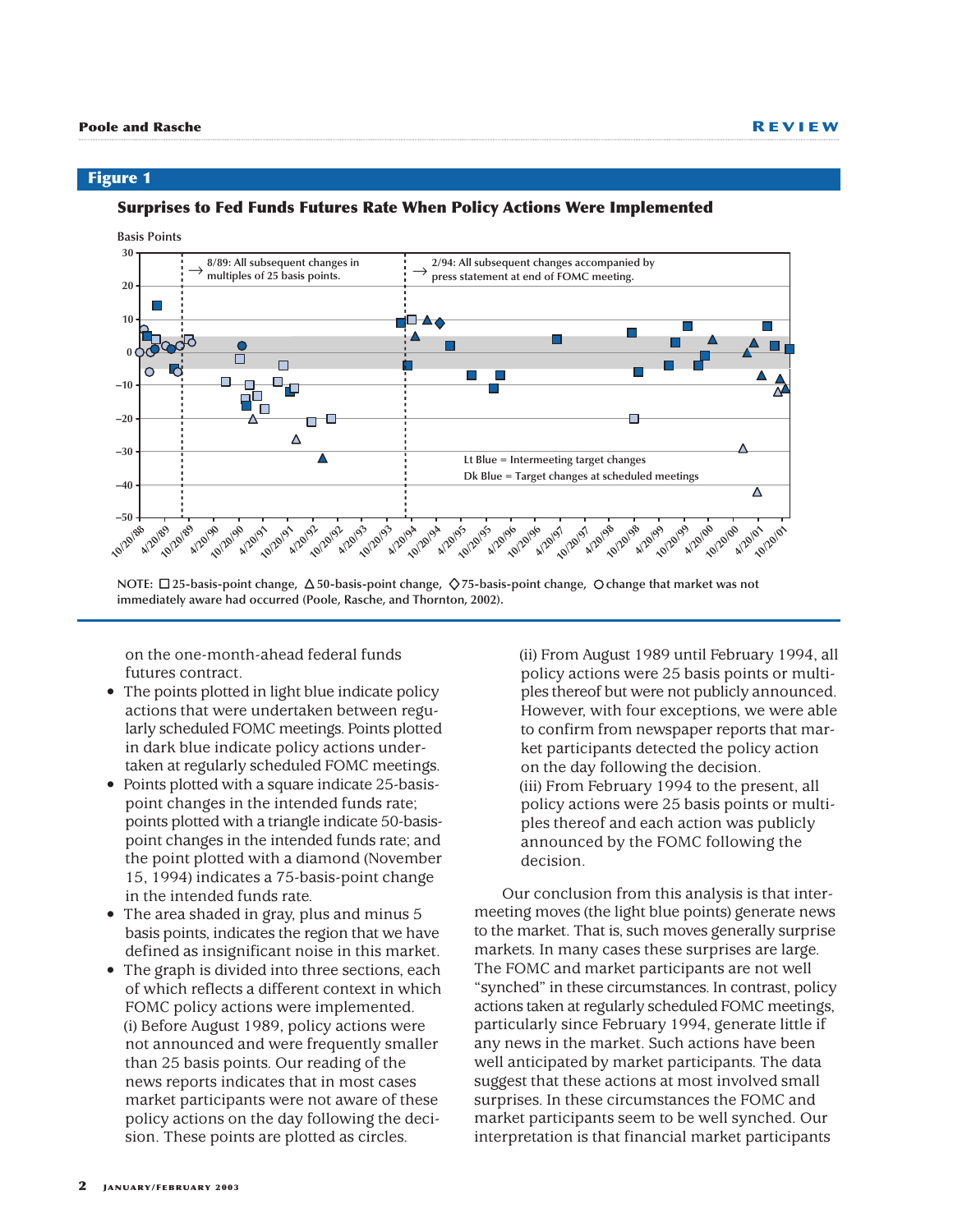### **Surprises to Fed Funds Futures Rate When Policy Actions Were Implemented**



**NOTE:** □25-basis-point change, △50-basis-point change, ◇75-basis-point change, ○change that market was not **immediately aware had occurred (Poole, Rasche, and Thornton, 2002).**

on the one-month-ahead federal funds futures contract.

- The points plotted in light blue indicate policy actions that were undertaken between regularly scheduled FOMC meetings. Points plotted in dark blue indicate policy actions undertaken at regularly scheduled FOMC meetings.
- Points plotted with a square indicate 25-basispoint changes in the intended funds rate; points plotted with a triangle indicate 50-basispoint changes in the intended funds rate; and the point plotted with a diamond (November 15, 1994) indicates a 75-basis-point change in the intended funds rate.
- The area shaded in gray, plus and minus 5 basis points, indicates the region that we have defined as insignificant noise in this market.
- The graph is divided into three sections, each of which reflects a different context in which FOMC policy actions were implemented. (i) Before August 1989, policy actions were not announced and were frequently smaller than 25 basis points. Our reading of the news reports indicates that in most cases market participants were not aware of these policy actions on the day following the decision. These points are plotted as circles.

(ii) From August 1989 until February 1994, all policy actions were 25 basis points or multiples thereof but were not publicly announced. However, with four exceptions, we were able to confirm from newspaper reports that market participants detected the policy action on the day following the decision. (iii) From February 1994 to the present, all policy actions were 25 basis points or multiples thereof and each action was publicly announced by the FOMC following the decision.

Our conclusion from this analysis is that intermeeting moves (the light blue points) generate news to the market. That is, such moves generally surprise markets. In many cases these surprises are large. The FOMC and market participants are not well "synched" in these circumstances. In contrast, policy actions taken at regularly scheduled FOMC meetings, particularly since February 1994, generate little if any news in the market. Such actions have been well anticipated by market participants. The data suggest that these actions at most involved small surprises. In these circumstances the FOMC and market participants seem to be well synched. Our interpretation is that financial market participants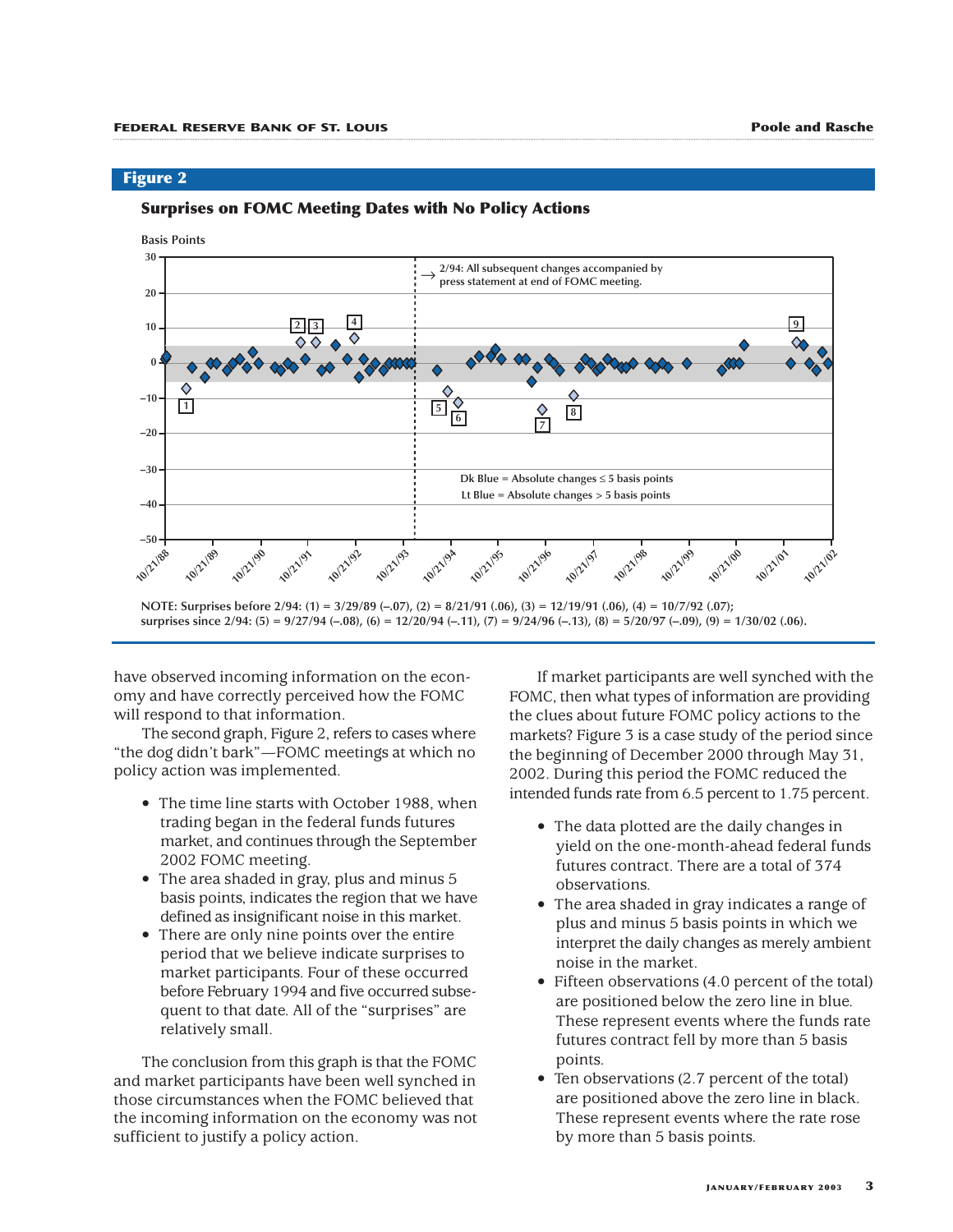### **Surprises on FOMC Meeting Dates with No Policy Actions**



**surprises since 2/94: (5) = 9/27/94 (–.08), (6) = 12/20/94 (–.11), (7) = 9/24/96 (–.13), (8) = 5/20/97 (–.09), (9) = 1/30/02 (.06).**

have observed incoming information on the economy and have correctly perceived how the FOMC will respond to that information.

The second graph, Figure 2, refers to cases where "the dog didn't bark"—FOMC meetings at which no policy action was implemented.

- The time line starts with October 1988, when trading began in the federal funds futures market, and continues through the September 2002 FOMC meeting.
- The area shaded in gray, plus and minus 5 basis points, indicates the region that we have defined as insignificant noise in this market.
- There are only nine points over the entire period that we believe indicate surprises to market participants. Four of these occurred before February 1994 and five occurred subsequent to that date. All of the "surprises" are relatively small.

The conclusion from this graph is that the FOMC and market participants have been well synched in those circumstances when the FOMC believed that the incoming information on the economy was not sufficient to justify a policy action.

If market participants are well synched with the FOMC, then what types of information are providing the clues about future FOMC policy actions to the markets? Figure 3 is a case study of the period since the beginning of December 2000 through May 31, 2002. During this period the FOMC reduced the intended funds rate from 6.5 percent to 1.75 percent.

- The data plotted are the daily changes in yield on the one-month-ahead federal funds futures contract. There are a total of 374 observations.
- The area shaded in gray indicates a range of plus and minus 5 basis points in which we interpret the daily changes as merely ambient noise in the market.
- Fifteen observations (4.0 percent of the total) are positioned below the zero line in blue. These represent events where the funds rate futures contract fell by more than 5 basis points.
- Ten observations (2.7 percent of the total) are positioned above the zero line in black. These represent events where the rate rose by more than 5 basis points.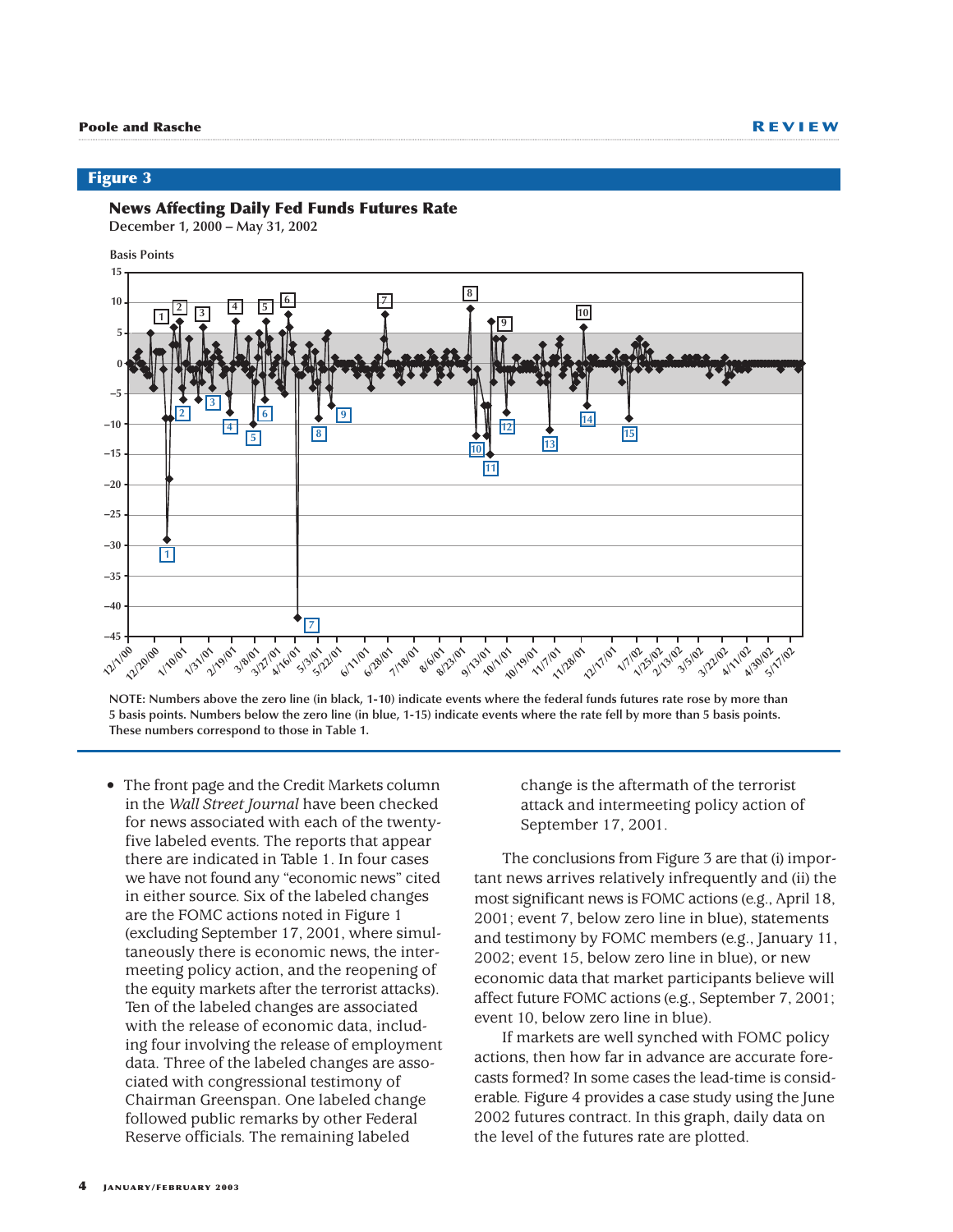### **News Affecting Daily Fed Funds Futures Rate**

**December 1, 2000 – May 31, 2002**

**Basis Points**



**NOTE: Numbers above the zero line (in black, 1-10) indicate events where the federal funds futures rate rose by more than 5 basis points. Numbers below the zero line (in blue, 1-15) indicate events where the rate fell by more than 5 basis points. These numbers correspond to those in Table 1.**

• The front page and the Credit Markets column in the *Wall Street Journal* have been checked for news associated with each of the twentyfive labeled events. The reports that appear there are indicated in Table 1. In four cases we have not found any "economic news" cited in either source. Six of the labeled changes are the FOMC actions noted in Figure 1 (excluding September 17, 2001, where simultaneously there is economic news, the intermeeting policy action, and the reopening of the equity markets after the terrorist attacks). Ten of the labeled changes are associated with the release of economic data, including four involving the release of employment data. Three of the labeled changes are associated with congressional testimony of Chairman Greenspan. One labeled change followed public remarks by other Federal Reserve officials. The remaining labeled

change is the aftermath of the terrorist attack and intermeeting policy action of September 17, 2001.

The conclusions from Figure 3 are that (i) important news arrives relatively infrequently and (ii) the most significant news is FOMC actions (e.g., April 18, 2001; event 7, below zero line in blue), statements and testimony by FOMC members (e.g., January 11, 2002; event 15, below zero line in blue), or new economic data that market participants believe will affect future FOMC actions (e.g., September 7, 2001; event 10, below zero line in blue).

If markets are well synched with FOMC policy actions, then how far in advance are accurate forecasts formed? In some cases the lead-time is considerable. Figure 4 provides a case study using the June 2002 futures contract. In this graph, daily data on the level of the futures rate are plotted.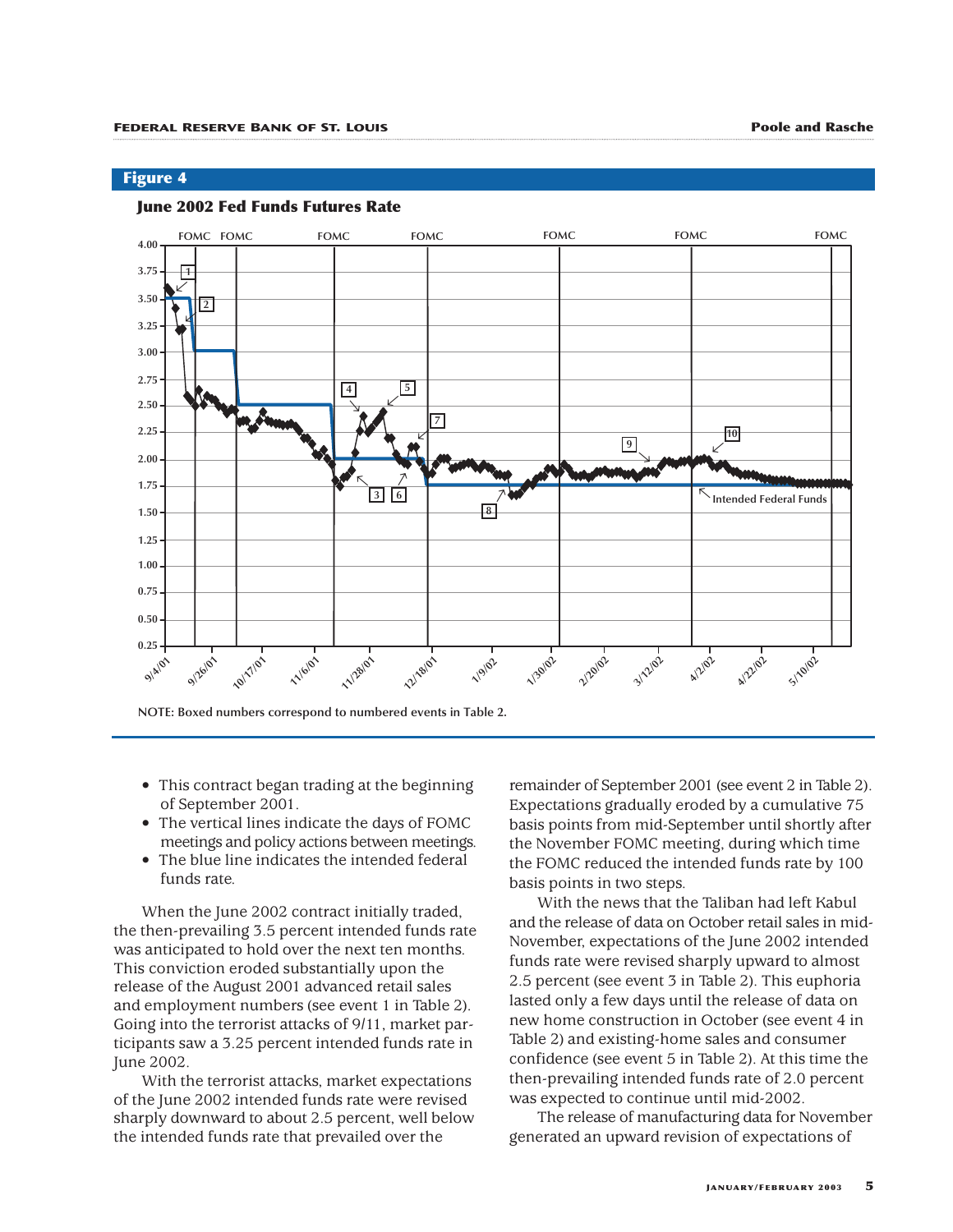### **June 2002 Fed Funds Futures Rate**



**NOTE: Boxed numbers correspond to numbered events in Table 2.** 

- This contract began trading at the beginning of September 2001.
- The vertical lines indicate the days of FOMC meetings and policy actions between meetings.
- The blue line indicates the intended federal funds rate.

When the June 2002 contract initially traded, the then-prevailing 3.5 percent intended funds rate was anticipated to hold over the next ten months. This conviction eroded substantially upon the release of the August 2001 advanced retail sales and employment numbers (see event 1 in Table 2). Going into the terrorist attacks of 9/11, market participants saw a 3.25 percent intended funds rate in June 2002.

With the terrorist attacks, market expectations of the June 2002 intended funds rate were revised sharply downward to about 2.5 percent, well below the intended funds rate that prevailed over the

remainder of September 2001 (see event 2 in Table 2). Expectations gradually eroded by a cumulative 75 basis points from mid-September until shortly after the November FOMC meeting, during which time the FOMC reduced the intended funds rate by 100 basis points in two steps.

With the news that the Taliban had left Kabul and the release of data on October retail sales in mid-November, expectations of the June 2002 intended funds rate were revised sharply upward to almost 2.5 percent (see event 3 in Table 2). This euphoria lasted only a few days until the release of data on new home construction in October (see event 4 in Table 2) and existing-home sales and consumer confidence (see event 5 in Table 2). At this time the then-prevailing intended funds rate of 2.0 percent was expected to continue until mid-2002.

The release of manufacturing data for November generated an upward revision of expectations of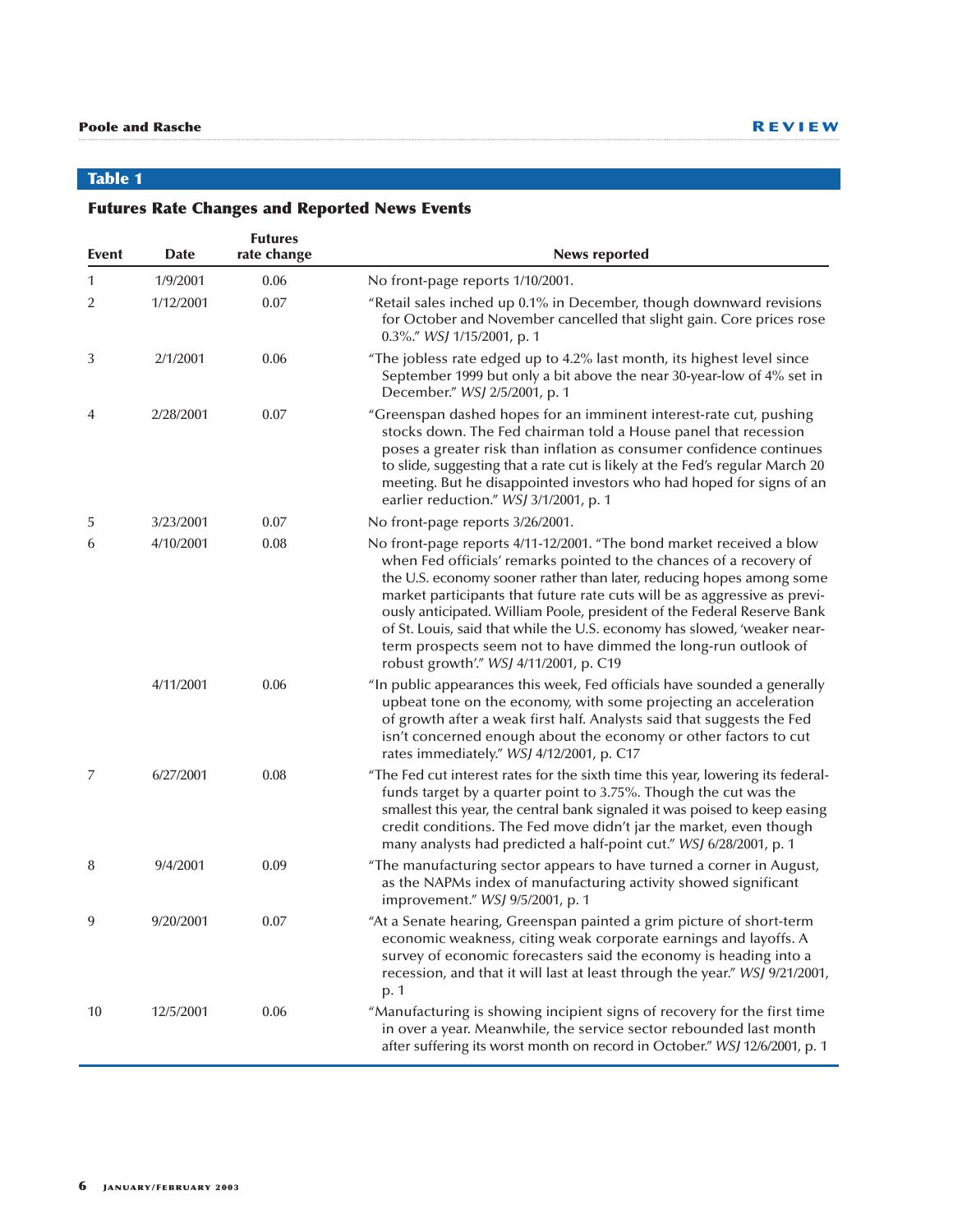# **Table 1**

# **Futures Rate Changes and Reported News Events**

| Event | <b>Date</b> | <b>Futures</b><br>rate change | <b>News reported</b>                                                                                                                                                                                                                                                                                                                                                                                                                                                                                                                                                |
|-------|-------------|-------------------------------|---------------------------------------------------------------------------------------------------------------------------------------------------------------------------------------------------------------------------------------------------------------------------------------------------------------------------------------------------------------------------------------------------------------------------------------------------------------------------------------------------------------------------------------------------------------------|
| 1     | 1/9/2001    | 0.06                          | No front-page reports 1/10/2001.                                                                                                                                                                                                                                                                                                                                                                                                                                                                                                                                    |
| 2     | 1/12/2001   | 0.07                          | "Retail sales inched up 0.1% in December, though downward revisions<br>for October and November cancelled that slight gain. Core prices rose<br>0.3%." WSJ 1/15/2001, p. 1                                                                                                                                                                                                                                                                                                                                                                                          |
| 3     | 2/1/2001    | 0.06                          | "The jobless rate edged up to 4.2% last month, its highest level since<br>September 1999 but only a bit above the near 30-year-low of 4% set in<br>December." WSJ 2/5/2001, p. 1                                                                                                                                                                                                                                                                                                                                                                                    |
| 4     | 2/28/2001   | 0.07                          | "Greenspan dashed hopes for an imminent interest-rate cut, pushing<br>stocks down. The Fed chairman told a House panel that recession<br>poses a greater risk than inflation as consumer confidence continues<br>to slide, suggesting that a rate cut is likely at the Fed's regular March 20<br>meeting. But he disappointed investors who had hoped for signs of an<br>earlier reduction." WSJ 3/1/2001, p. 1                                                                                                                                                     |
| 5     | 3/23/2001   | 0.07                          | No front-page reports 3/26/2001.                                                                                                                                                                                                                                                                                                                                                                                                                                                                                                                                    |
| 6     | 4/10/2001   | 0.08                          | No front-page reports 4/11-12/2001. "The bond market received a blow<br>when Fed officials' remarks pointed to the chances of a recovery of<br>the U.S. economy sooner rather than later, reducing hopes among some<br>market participants that future rate cuts will be as aggressive as previ-<br>ously anticipated. William Poole, president of the Federal Reserve Bank<br>of St. Louis, said that while the U.S. economy has slowed, 'weaker near-<br>term prospects seem not to have dimmed the long-run outlook of<br>robust growth'." WSJ 4/11/2001, p. C19 |
|       | 4/11/2001   | 0.06                          | "In public appearances this week, Fed officials have sounded a generally<br>upbeat tone on the economy, with some projecting an acceleration<br>of growth after a weak first half. Analysts said that suggests the Fed<br>isn't concerned enough about the economy or other factors to cut<br>rates immediately." WSJ 4/12/2001, p. C17                                                                                                                                                                                                                             |
| 7     | 6/27/2001   | 0.08                          | "The Fed cut interest rates for the sixth time this year, lowering its federal-<br>funds target by a quarter point to 3.75%. Though the cut was the<br>smallest this year, the central bank signaled it was poised to keep easing<br>credit conditions. The Fed move didn't jar the market, even though<br>many analysts had predicted a half-point cut." WSJ 6/28/2001, p. 1                                                                                                                                                                                       |
| 8     | 9/4/2001    | 0.09                          | "The manufacturing sector appears to have turned a corner in August,<br>as the NAPMs index of manufacturing activity showed significant<br>improvement." WSJ 9/5/2001, p. 1                                                                                                                                                                                                                                                                                                                                                                                         |
| 9     | 9/20/2001   | 0.07                          | "At a Senate hearing, Greenspan painted a grim picture of short-term<br>economic weakness, citing weak corporate earnings and layoffs. A<br>survey of economic forecasters said the economy is heading into a<br>recession, and that it will last at least through the year." WSJ 9/21/2001,<br>p. 1                                                                                                                                                                                                                                                                |
| 10    | 12/5/2001   | 0.06                          | "Manufacturing is showing incipient signs of recovery for the first time<br>in over a year. Meanwhile, the service sector rebounded last month<br>after suffering its worst month on record in October." WSJ 12/6/2001, p. 1                                                                                                                                                                                                                                                                                                                                        |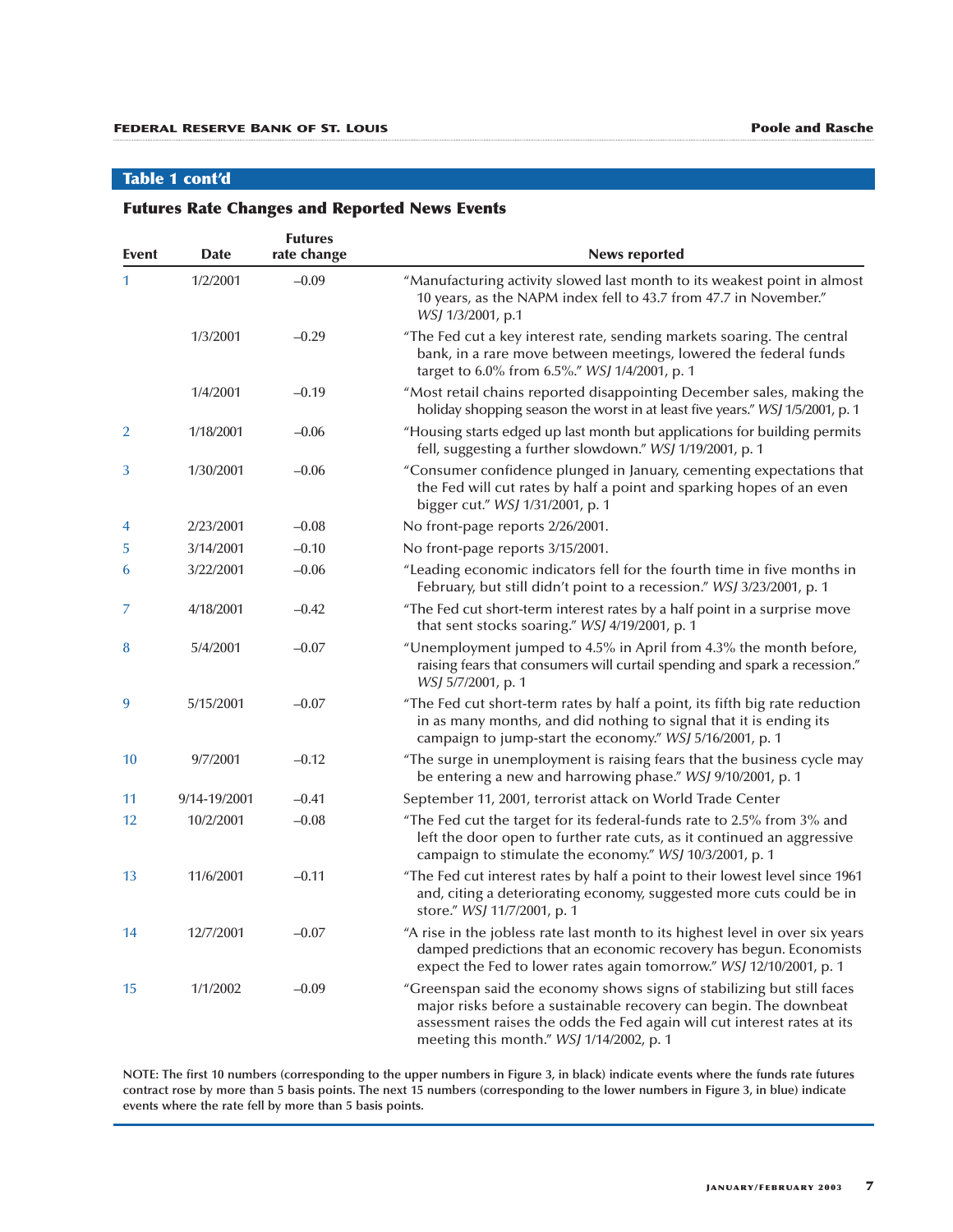### **Table 1 cont'd**

### **Futures Rate Changes and Reported News Events**

|                |              | <b>Futures</b> |                                                                                                                                                                                                                                                                    |
|----------------|--------------|----------------|--------------------------------------------------------------------------------------------------------------------------------------------------------------------------------------------------------------------------------------------------------------------|
| Event          | <b>Date</b>  | rate change    | <b>News reported</b>                                                                                                                                                                                                                                               |
| 1.             | 1/2/2001     | $-0.09$        | "Manufacturing activity slowed last month to its weakest point in almost<br>10 years, as the NAPM index fell to 43.7 from 47.7 in November."<br><i>WSJ</i> 1/3/2001, p.1                                                                                           |
|                | 1/3/2001     | $-0.29$        | "The Fed cut a key interest rate, sending markets soaring. The central<br>bank, in a rare move between meetings, lowered the federal funds<br>target to 6.0% from 6.5%." WSJ 1/4/2001, p. 1                                                                        |
|                | 1/4/2001     | $-0.19$        | "Most retail chains reported disappointing December sales, making the<br>holiday shopping season the worst in at least five years." WSJ 1/5/2001, p. 1                                                                                                             |
| $\overline{2}$ | 1/18/2001    | $-0.06$        | "Housing starts edged up last month but applications for building permits<br>fell, suggesting a further slowdown." WSJ 1/19/2001, p. 1                                                                                                                             |
| 3              | 1/30/2001    | $-0.06$        | "Consumer confidence plunged in January, cementing expectations that<br>the Fed will cut rates by half a point and sparking hopes of an even<br>bigger cut." WSJ 1/31/2001, p. 1                                                                                   |
| 4              | 2/23/2001    | $-0.08$        | No front-page reports 2/26/2001.                                                                                                                                                                                                                                   |
| 5              | 3/14/2001    | $-0.10$        | No front-page reports 3/15/2001.                                                                                                                                                                                                                                   |
| 6              | 3/22/2001    | $-0.06$        | "Leading economic indicators fell for the fourth time in five months in<br>February, but still didn't point to a recession." WSJ 3/23/2001, p. 1                                                                                                                   |
| 7              | 4/18/2001    | $-0.42$        | "The Fed cut short-term interest rates by a half point in a surprise move<br>that sent stocks soaring." WSJ 4/19/2001, p. 1                                                                                                                                        |
| 8              | 5/4/2001     | $-0.07$        | "Unemployment jumped to 4.5% in April from 4.3% the month before,<br>raising fears that consumers will curtail spending and spark a recession."<br><i>WSJ 5/7/2001</i> , p. 1                                                                                      |
| 9              | 5/15/2001    | $-0.07$        | "The Fed cut short-term rates by half a point, its fifth big rate reduction<br>in as many months, and did nothing to signal that it is ending its<br>campaign to jump-start the economy." WSJ 5/16/2001, p. 1                                                      |
| 10             | 9/7/2001     | $-0.12$        | "The surge in unemployment is raising fears that the business cycle may<br>be entering a new and harrowing phase." WSJ 9/10/2001, p. 1                                                                                                                             |
| 11             | 9/14-19/2001 | $-0.41$        | September 11, 2001, terrorist attack on World Trade Center                                                                                                                                                                                                         |
| 12             | 10/2/2001    | $-0.08$        | "The Fed cut the target for its federal-funds rate to 2.5% from 3% and<br>left the door open to further rate cuts, as it continued an aggressive<br>campaign to stimulate the economy." WSJ 10/3/2001, p. 1                                                        |
| 13             | 11/6/2001    | $-0.11$        | "The Fed cut interest rates by half a point to their lowest level since 1961<br>and, citing a deteriorating economy, suggested more cuts could be in<br>store." <i>WSJ</i> 11/7/2001, p. 1                                                                         |
| 14             | 12/7/2001    | $-0.07$        | "A rise in the jobless rate last month to its highest level in over six years<br>damped predictions that an economic recovery has begun. Economists<br>expect the Fed to lower rates again tomorrow." WSJ 12/10/2001, p. 1                                         |
| 15             | 1/1/2002     | $-0.09$        | "Greenspan said the economy shows signs of stabilizing but still faces<br>major risks before a sustainable recovery can begin. The downbeat<br>assessment raises the odds the Fed again will cut interest rates at its<br>meeting this month." WSJ 1/14/2002, p. 1 |

**NOTE: The first 10 numbers (corresponding to the upper numbers in Figure 3, in black) indicate events where the funds rate futures contract rose by more than 5 basis points. The next 15 numbers (corresponding to the lower numbers in Figure 3, in blue) indicate events where the rate fell by more than 5 basis points.**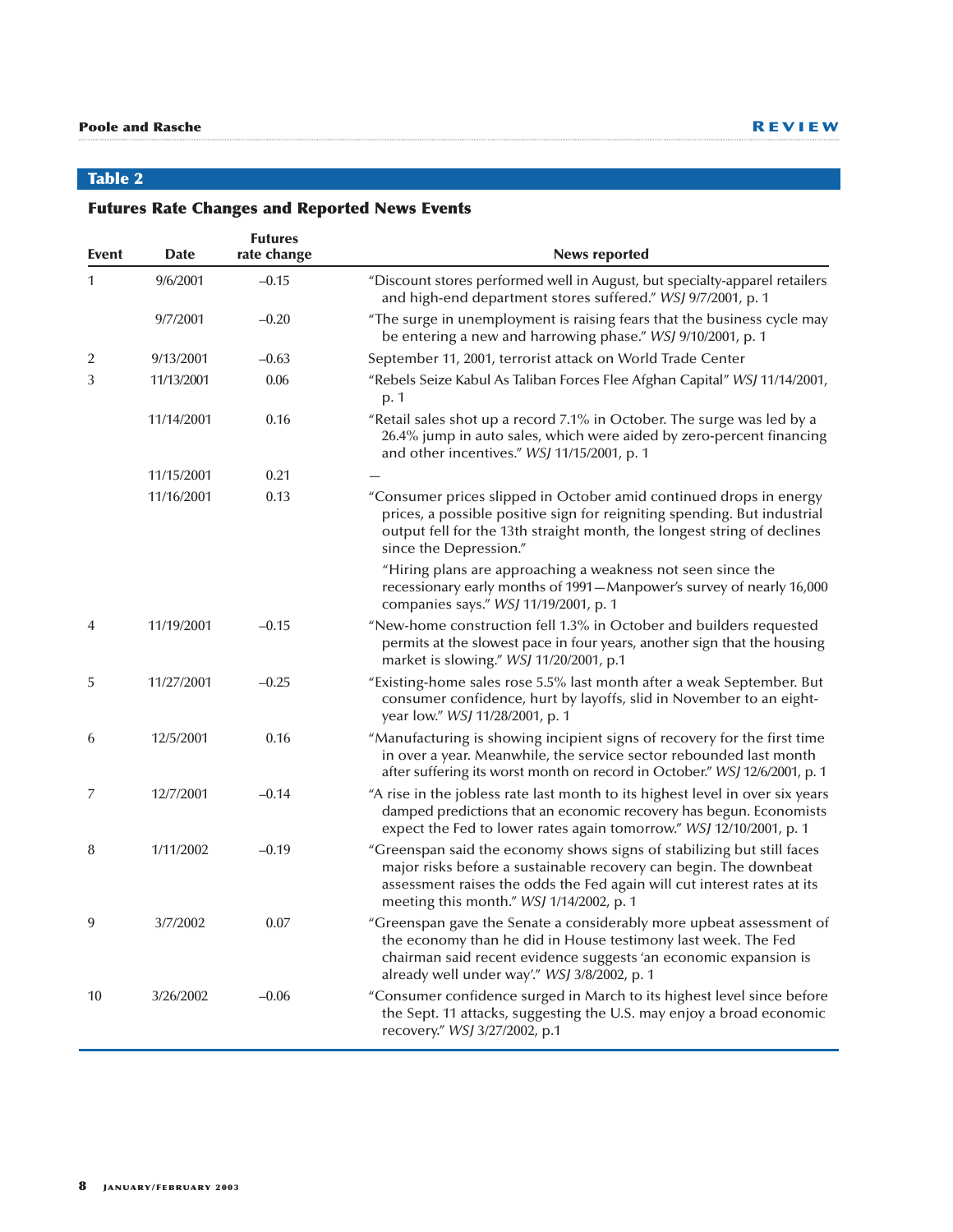# **Table 2**

# **Futures Rate Changes and Reported News Events**

| Event          | <b>Date</b> | <b>Futures</b><br>rate change | <b>News reported</b>                                                                                                                                                                                                                                               |
|----------------|-------------|-------------------------------|--------------------------------------------------------------------------------------------------------------------------------------------------------------------------------------------------------------------------------------------------------------------|
| 1              | 9/6/2001    | $-0.15$                       | "Discount stores performed well in August, but specialty-apparel retailers<br>and high-end department stores suffered." WSJ 9/7/2001, p. 1                                                                                                                         |
|                | 9/7/2001    | $-0.20$                       | "The surge in unemployment is raising fears that the business cycle may<br>be entering a new and harrowing phase." WSJ 9/10/2001, p. 1                                                                                                                             |
| 2              | 9/13/2001   | $-0.63$                       | September 11, 2001, terrorist attack on World Trade Center                                                                                                                                                                                                         |
| 3              | 11/13/2001  | 0.06                          | "Rebels Seize Kabul As Taliban Forces Flee Afghan Capital" WSJ 11/14/2001,<br>p. 1                                                                                                                                                                                 |
|                | 11/14/2001  | 0.16                          | "Retail sales shot up a record 7.1% in October. The surge was led by a<br>26.4% jump in auto sales, which were aided by zero-percent financing<br>and other incentives." WSJ 11/15/2001, p. 1                                                                      |
|                | 11/15/2001  | 0.21                          |                                                                                                                                                                                                                                                                    |
|                | 11/16/2001  | 0.13                          | "Consumer prices slipped in October amid continued drops in energy<br>prices, a possible positive sign for reigniting spending. But industrial<br>output fell for the 13th straight month, the longest string of declines<br>since the Depression."                |
|                |             |                               | "Hiring plans are approaching a weakness not seen since the<br>recessionary early months of 1991-Manpower's survey of nearly 16,000<br>companies says." WSJ 11/19/2001, p. 1                                                                                       |
| $\overline{4}$ | 11/19/2001  | $-0.15$                       | "New-home construction fell 1.3% in October and builders requested<br>permits at the slowest pace in four years, another sign that the housing<br>market is slowing." WSJ 11/20/2001, p.1                                                                          |
| 5              | 11/27/2001  | $-0.25$                       | "Existing-home sales rose 5.5% last month after a weak September. But<br>consumer confidence, hurt by layoffs, slid in November to an eight-<br>year low." WSJ 11/28/2001, p. 1                                                                                    |
| 6              | 12/5/2001   | 0.16                          | "Manufacturing is showing incipient signs of recovery for the first time<br>in over a year. Meanwhile, the service sector rebounded last month<br>after suffering its worst month on record in October." WSJ 12/6/2001, p. 1                                       |
| 7              | 12/7/2001   | $-0.14$                       | "A rise in the jobless rate last month to its highest level in over six years<br>damped predictions that an economic recovery has begun. Economists<br>expect the Fed to lower rates again tomorrow." WSJ 12/10/2001, p. 1                                         |
| 8              | 1/11/2002   | $-0.19$                       | "Greenspan said the economy shows signs of stabilizing but still faces<br>major risks before a sustainable recovery can begin. The downbeat<br>assessment raises the odds the Fed again will cut interest rates at its<br>meeting this month." WSJ 1/14/2002, p. 1 |
| 9              | 3/7/2002    | 0.07                          | "Greenspan gave the Senate a considerably more upbeat assessment of<br>the economy than he did in House testimony last week. The Fed<br>chairman said recent evidence suggests 'an economic expansion is<br>already well under way'." WSJ 3/8/2002, p. 1           |
| 10             | 3/26/2002   | $-0.06$                       | "Consumer confidence surged in March to its highest level since before<br>the Sept. 11 attacks, suggesting the U.S. may enjoy a broad economic<br>recovery." WSJ 3/27/2002, p.1                                                                                    |